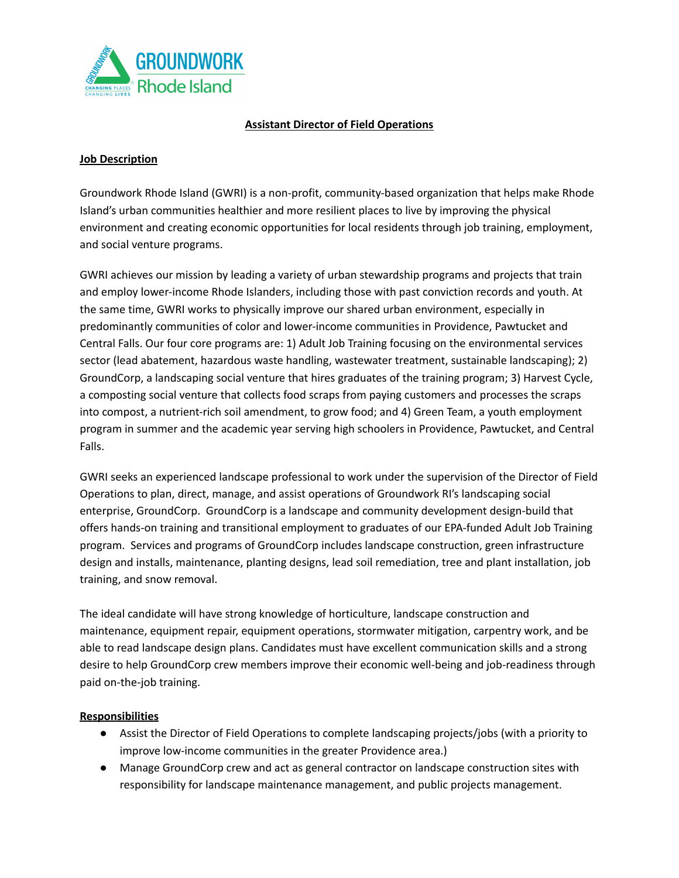

## **Assistant Director of Field Operations**

#### **Job Description**

Groundwork Rhode Island (GWRI) is a non-profit, community-based organization that helps make Rhode Island's urban communities healthier and more resilient places to live by improving the physical environment and creating economic opportunities for local residents through job training, employment, and social venture programs.

GWRI achieves our mission by leading a variety of urban stewardship programs and projects that train and employ lower-income Rhode Islanders, including those with past conviction records and youth. At the same time, GWRI works to physically improve our shared urban environment, especially in predominantly communities of color and lower-income communities in Providence, Pawtucket and Central Falls. Our four core programs are: 1) Adult Job Training focusing on the environmental services sector (lead abatement, hazardous waste handling, wastewater treatment, sustainable landscaping); 2) GroundCorp, a landscaping social venture that hires graduates of the training program; 3) Harvest Cycle, a composting social venture that collects food scraps from paying customers and processes the scraps into compost, a nutrient-rich soil amendment, to grow food; and 4) Green Team, a youth employment program in summer and the academic year serving high schoolers in Providence, Pawtucket, and Central Falls.

GWRI seeks an experienced landscape professional to work under the supervision of the Director of Field Operations to plan, direct, manage, and assist operations of Groundwork RI's landscaping social enterprise, GroundCorp. GroundCorp is a landscape and community development design-build that offers hands-on training and transitional employment to graduates of our EPA-funded Adult Job Training program. Services and programs of GroundCorp includes landscape construction, green infrastructure design and installs, maintenance, planting designs, lead soil remediation, tree and plant installation, job training, and snow removal.

The ideal candidate will have strong knowledge of horticulture, landscape construction and maintenance, equipment repair, equipment operations, stormwater mitigation, carpentry work, and be able to read landscape design plans. Candidates must have excellent communication skills and a strong desire to help GroundCorp crew members improve their economic well-being and job-readiness through paid on-the-job training.

#### **Responsibilities**

- Assist the Director of Field Operations to complete landscaping projects/jobs (with a priority to improve low-income communities in the greater Providence area.)
- Manage GroundCorp crew and act as general contractor on landscape construction sites with responsibility for landscape maintenance management, and public projects management.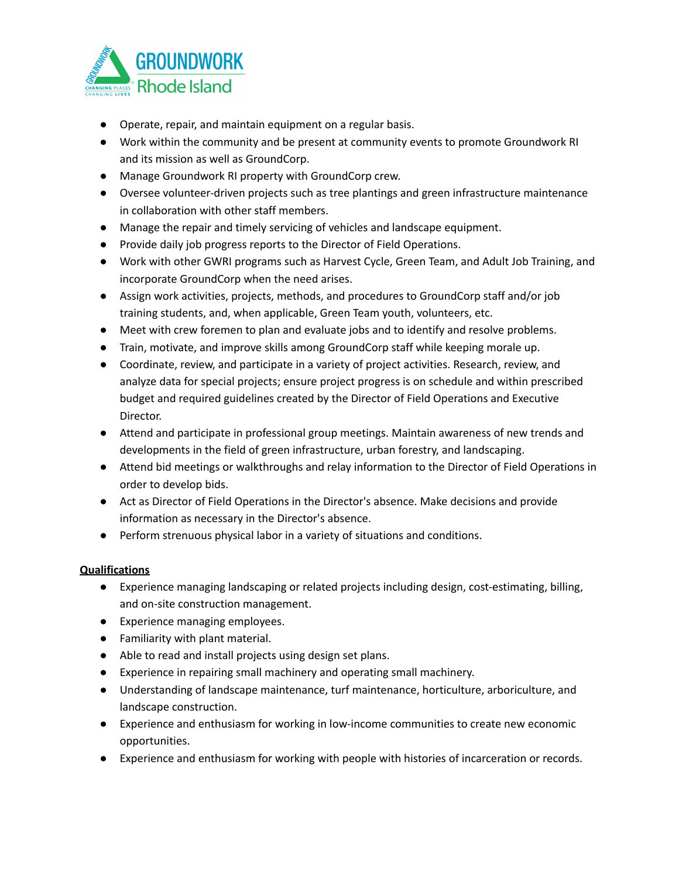

- Operate, repair, and maintain equipment on a regular basis.
- Work within the community and be present at community events to promote Groundwork RI and its mission as well as GroundCorp.
- Manage Groundwork RI property with GroundCorp crew.
- Oversee volunteer-driven projects such as tree plantings and green infrastructure maintenance in collaboration with other staff members.
- Manage the repair and timely servicing of vehicles and landscape equipment.
- Provide daily job progress reports to the Director of Field Operations.
- Work with other GWRI programs such as Harvest Cycle, Green Team, and Adult Job Training, and incorporate GroundCorp when the need arises.
- Assign work activities, projects, methods, and procedures to GroundCorp staff and/or job training students, and, when applicable, Green Team youth, volunteers, etc.
- Meet with crew foremen to plan and evaluate jobs and to identify and resolve problems.
- Train, motivate, and improve skills among GroundCorp staff while keeping morale up.
- Coordinate, review, and participate in a variety of project activities. Research, review, and analyze data for special projects; ensure project progress is on schedule and within prescribed budget and required guidelines created by the Director of Field Operations and Executive Director.
- Attend and participate in professional group meetings. Maintain awareness of new trends and developments in the field of green infrastructure, urban forestry, and landscaping.
- Attend bid meetings or walkthroughs and relay information to the Director of Field Operations in order to develop bids.
- Act as Director of Field Operations in the Director's absence. Make decisions and provide information as necessary in the Director's absence.
- Perform strenuous physical labor in a variety of situations and conditions.

# **Qualifications**

- Experience managing landscaping or related projects including design, cost-estimating, billing, and on-site construction management.
- Experience managing employees.
- Familiarity with plant material.
- Able to read and install projects using design set plans.
- Experience in repairing small machinery and operating small machinery.
- Understanding of landscape maintenance, turf maintenance, horticulture, arboriculture, and landscape construction.
- Experience and enthusiasm for working in low-income communities to create new economic opportunities.
- Experience and enthusiasm for working with people with histories of incarceration or records.